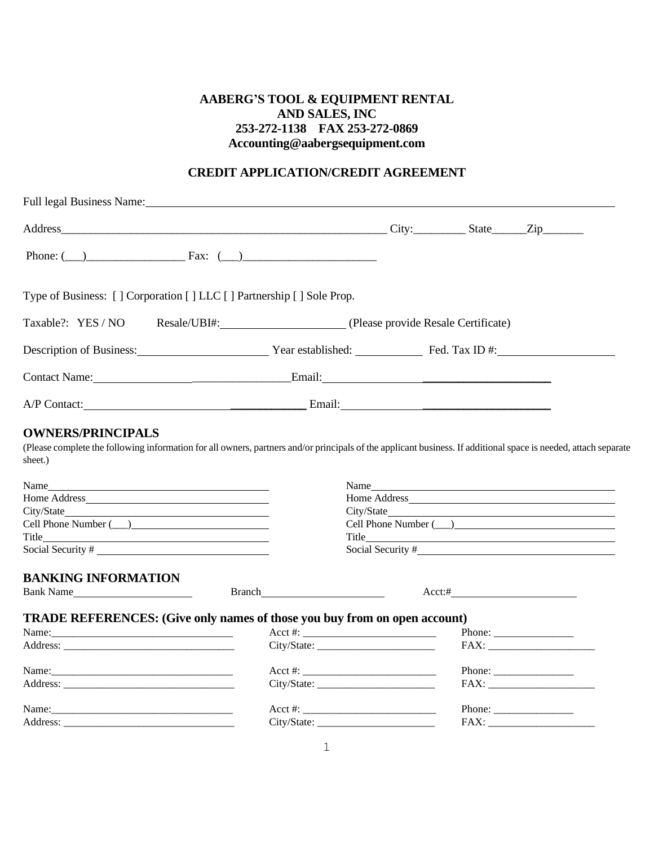## **AABERG'S TOOL & EQUIPMENT RENTAL AND SALES, INC 253-272-1138 FAX 253-272-0869 Accounting@aabergsequipment.com**

## **CREDIT APPLICATION/CREDIT AGREEMENT**

|                                                                                            | Full legal Business Name: The Contract of the Contract of the Contract of the Contract of the Contract of the Contract of the Contract of the Contract of the Contract of the Contract of the Contract of the Contract of the |                   |           |                                                                                                                                                                                                                                                                                                                                                                                                                  |
|--------------------------------------------------------------------------------------------|-------------------------------------------------------------------------------------------------------------------------------------------------------------------------------------------------------------------------------|-------------------|-----------|------------------------------------------------------------------------------------------------------------------------------------------------------------------------------------------------------------------------------------------------------------------------------------------------------------------------------------------------------------------------------------------------------------------|
|                                                                                            |                                                                                                                                                                                                                               |                   |           |                                                                                                                                                                                                                                                                                                                                                                                                                  |
|                                                                                            | Phone: $(\_)$ Fax: $(\_)$                                                                                                                                                                                                     |                   |           |                                                                                                                                                                                                                                                                                                                                                                                                                  |
|                                                                                            | Type of Business: [] Corporation [] LLC [] Partnership [] Sole Prop.                                                                                                                                                          |                   |           |                                                                                                                                                                                                                                                                                                                                                                                                                  |
| Taxable?: YES / NO                                                                         | Resale/UBI#: (Please provide Resale Certificate)                                                                                                                                                                              |                   |           |                                                                                                                                                                                                                                                                                                                                                                                                                  |
|                                                                                            | Description of Business: Year established: Fed. Tax ID #:                                                                                                                                                                     |                   |           |                                                                                                                                                                                                                                                                                                                                                                                                                  |
|                                                                                            |                                                                                                                                                                                                                               |                   |           |                                                                                                                                                                                                                                                                                                                                                                                                                  |
|                                                                                            |                                                                                                                                                                                                                               |                   |           |                                                                                                                                                                                                                                                                                                                                                                                                                  |
| sheet.)<br>Name<br><u> 1989 - Johann Barn, fransk politik amerikansk politik (d. 1989)</u> | (Please complete the following information for all owners, partners and/or principals of the applicant business. If additional space is needed, attach separate                                                               |                   |           |                                                                                                                                                                                                                                                                                                                                                                                                                  |
|                                                                                            |                                                                                                                                                                                                                               | City/State        |           |                                                                                                                                                                                                                                                                                                                                                                                                                  |
| Cell Phone Number (___)                                                                    |                                                                                                                                                                                                                               |                   |           |                                                                                                                                                                                                                                                                                                                                                                                                                  |
| Title                                                                                      |                                                                                                                                                                                                                               |                   |           |                                                                                                                                                                                                                                                                                                                                                                                                                  |
|                                                                                            |                                                                                                                                                                                                                               | Social Security # |           |                                                                                                                                                                                                                                                                                                                                                                                                                  |
| <b>BANKING INFORMATION</b>                                                                 |                                                                                                                                                                                                                               |                   |           |                                                                                                                                                                                                                                                                                                                                                                                                                  |
| Bank Name                                                                                  | Branch has a series of the series of the series of the series of the series of the series of the series of the                                                                                                                |                   | $Acct:\#$ |                                                                                                                                                                                                                                                                                                                                                                                                                  |
|                                                                                            | <b>TRADE REFERENCES:</b> (Give only names of those you buy from on open account)                                                                                                                                              |                   |           |                                                                                                                                                                                                                                                                                                                                                                                                                  |
|                                                                                            |                                                                                                                                                                                                                               |                   |           |                                                                                                                                                                                                                                                                                                                                                                                                                  |
|                                                                                            |                                                                                                                                                                                                                               |                   |           | $FAX: \begin{tabular}{ c c c } \hline \quad \quad & \quad \quad & \quad \quad \\ \hline \end{tabular}$                                                                                                                                                                                                                                                                                                           |
|                                                                                            |                                                                                                                                                                                                                               |                   |           | Phone: $\qquad \qquad$                                                                                                                                                                                                                                                                                                                                                                                           |
|                                                                                            | City/State:                                                                                                                                                                                                                   |                   |           | ${\rm FAX:} \begin{tabular}{ c c c } \hline \quad \quad & \quad \quad & \quad \quad \\ \hline \end{tabular}$                                                                                                                                                                                                                                                                                                     |
|                                                                                            |                                                                                                                                                                                                                               |                   |           | Phone: $\frac{1}{\sqrt{1-\frac{1}{2}}\cdot\frac{1}{2}}$                                                                                                                                                                                                                                                                                                                                                          |
|                                                                                            | City/State:                                                                                                                                                                                                                   |                   |           | $\text{FAX:}\underset{\rule{3.2cm}{0pt}\text{A.}}{\underbrace{\hspace{1.2cm}}\text{A.}}\hspace{1.2cm}\text{A.}\hspace{1.2cm}\text{A.}\hspace{1.2cm}\text{A.}\hspace{1.2cm}\text{A.}\hspace{1.2cm}\text{A.}\hspace{1.2cm}\text{A.}\hspace{1.2cm}\text{A.}\hspace{1.2cm}\text{A.}\hspace{1.2cm}\text{A.}\hspace{1.2cm}\text{A.}\hspace{1.2cm}\text{A.}\hspace{1.2cm}\text{A.}\hspace{1.2cm}\text{A.}\hspace{1.2cm$ |
|                                                                                            |                                                                                                                                                                                                                               |                   |           |                                                                                                                                                                                                                                                                                                                                                                                                                  |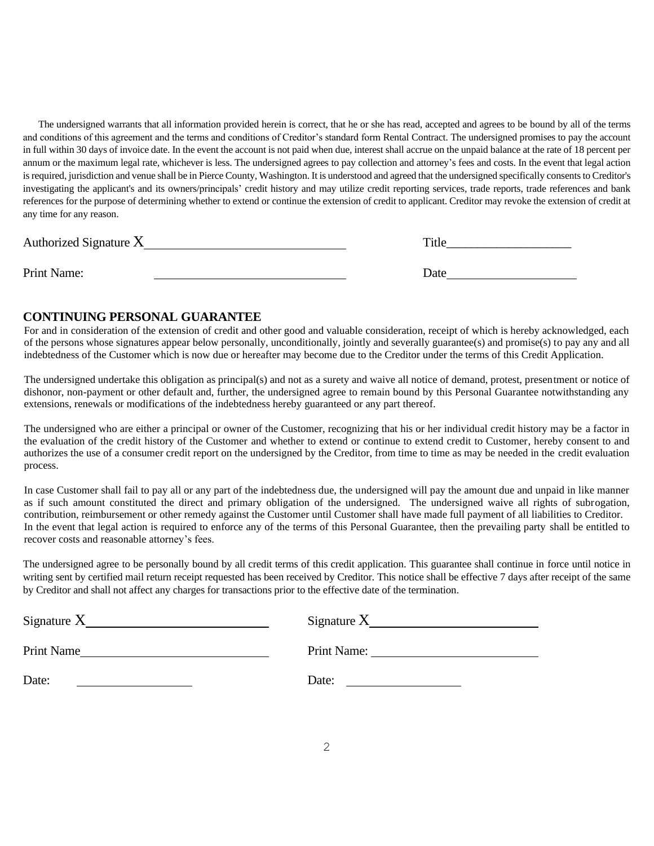The undersigned warrants that all information provided herein is correct, that he or she has read, accepted and agrees to be bound by all of the terms and conditions of this agreement and the terms and conditions of Creditor's standard form Rental Contract. The undersigned promises to pay the account in full within 30 days of invoice date. In the event the account is not paid when due, interest shall accrue on the unpaid balance at the rate of 18 percent per annum or the maximum legal rate, whichever is less. The undersigned agrees to pay collection and attorney's fees and costs. In the event that legal action is required, jurisdiction and venue shall be in Pierce County, Washington. It is understood and agreed that the undersigned specifically consents to Creditor's investigating the applicant's and its owners/principals' credit history and may utilize credit reporting services, trade reports, trade references and bank references for the purpose of determining whether to extend or continue the extension of credit to applicant. Creditor may revoke the extension of credit at any time for any reason.

| Authorized Signature $X$ | Title |
|--------------------------|-------|
| Print Name:              | Date  |

## **CONTINUING PERSONAL GUARANTEE**

For and in consideration of the extension of credit and other good and valuable consideration, receipt of which is hereby acknowledged, each of the persons whose signatures appear below personally, unconditionally, jointly and severally guarantee(s) and promise(s) to pay any and all indebtedness of the Customer which is now due or hereafter may become due to the Creditor under the terms of this Credit Application.

The undersigned undertake this obligation as principal(s) and not as a surety and waive all notice of demand, protest, presentment or notice of dishonor, non-payment or other default and, further, the undersigned agree to remain bound by this Personal Guarantee notwithstanding any extensions, renewals or modifications of the indebtedness hereby guaranteed or any part thereof.

The undersigned who are either a principal or owner of the Customer, recognizing that his or her individual credit history may be a factor in the evaluation of the credit history of the Customer and whether to extend or continue to extend credit to Customer, hereby consent to and authorizes the use of a consumer credit report on the undersigned by the Creditor, from time to time as may be needed in the credit evaluation process.

In case Customer shall fail to pay all or any part of the indebtedness due, the undersigned will pay the amount due and unpaid in like manner as if such amount constituted the direct and primary obligation of the undersigned. The undersigned waive all rights of subrogation, contribution, reimbursement or other remedy against the Customer until Customer shall have made full payment of all liabilities to Creditor. In the event that legal action is required to enforce any of the terms of this Personal Guarantee, then the prevailing party shall be entitled to recover costs and reasonable attorney's fees.

The undersigned agree to be personally bound by all credit terms of this credit application. This guarantee shall continue in force until notice in writing sent by certified mail return receipt requested has been received by Creditor. This notice shall be effective 7 days after receipt of the same by Creditor and shall not affect any charges for transactions prior to the effective date of the termination.

| Signature $X$ | Signature $X$ |
|---------------|---------------|
| Print Name    | Print Name:   |
| Date:         | Date:         |